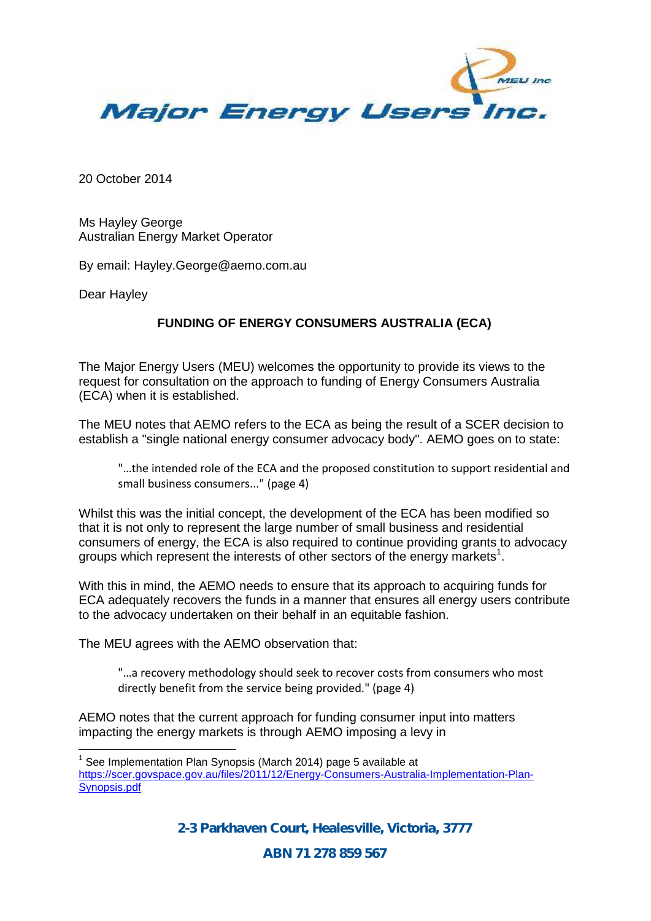

20 October 2014

Ms Hayley George Australian Energy Market Operator

By email: Hayley.George@aemo.com.au

Dear Hayley

## **FUNDING OF ENERGY CONSUMERS AUSTRALIA (ECA)**

The Major Energy Users (MEU) welcomes the opportunity to provide its views to the request for consultation on the approach to funding of Energy Consumers Australia (ECA) when it is established.

The MEU notes that AEMO refers to the ECA as being the result of a SCER decision to establish a "single national energy consumer advocacy body". AEMO goes on to state:

"…the intended role of the ECA and the proposed constitution to support residential and small business consumers..." (page 4)

Whilst this was the initial concept, the development of the ECA has been modified so that it is not only to represent the large number of small business and residential consumers of energy, the ECA is also required to continue providing grants to advocacy groups which represent the interests of other sectors of the energy markets<sup>1</sup>.

With this in mind, the AEMO needs to ensure that its approach to acquiring funds for ECA adequately recovers the funds in a manner that ensures all energy users contribute to the advocacy undertaken on their behalf in an equitable fashion.

The MEU agrees with the AEMO observation that:

"…a recovery methodology should seek to recover costs from consumers who most directly benefit from the service being provided." (page 4)

AEMO notes that the current approach for funding consumer input into matters impacting the energy markets is through AEMO imposing a levy in

*2-3 Parkhaven Court, Healesville, Victoria, 3777*

*ABN 71 278 859 567*

 $1$  See Implementation Plan Synopsis (March 2014) page 5 available at https://scer.govspace.gov.au/files/2011/12/Energy-Consumers-Australia-Implementation-Plan- Synopsis.pdf